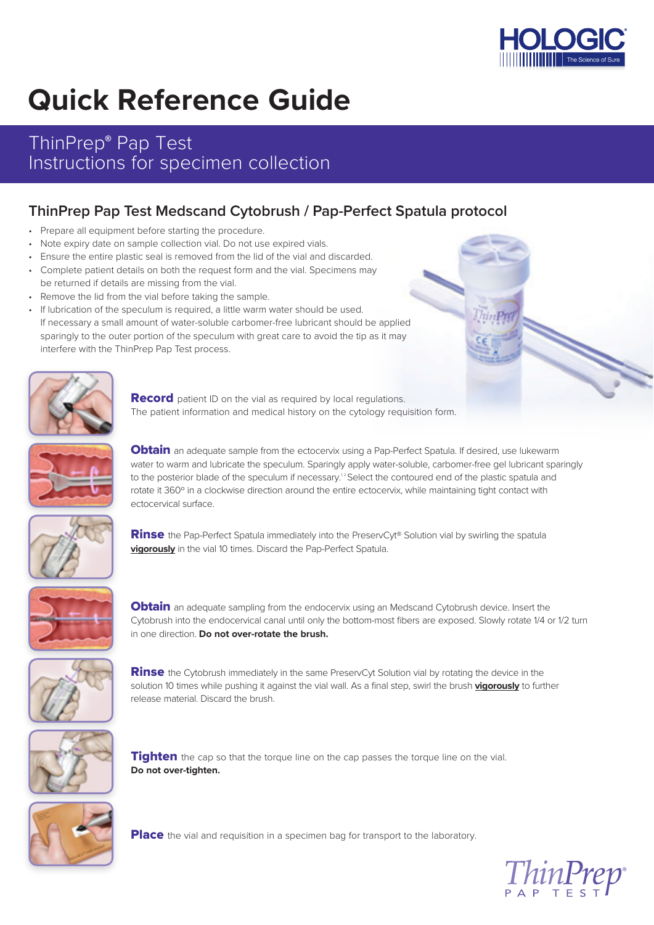

# **Quick Reference Guide**

### ThinPrep**®** Pap Test Instructions for specimen collection

### **ThinPrep Pap Test Medscand Cytobrush / Pap-Perfect Spatula protocol**

- Prepare all equipment before starting the procedure.
- Note expiry date on sample collection vial. Do not use expired vials.
- Ensure the entire plastic seal is removed from the lid of the vial and discarded.
- Complete patient details on both the request form and the vial. Specimens may be returned if details are missing from the vial.
- Remove the lid from the vial before taking the sample.
- If lubrication of the speculum is required, a little warm water should be used. If necessary a small amount of water-soluble carbomer-free lubricant should be applied sparingly to the outer portion of the speculum with great care to avoid the tip as it may interfere with the ThinPrep Pap Test process.



**Record** patient ID on the vial as required by local regulations. The patient information and medical history on the cytology requisition form.



**Obtain** an adequate sample from the ectocervix using a Pap-Perfect Spatula. If desired, use lukewarm water to warm and lubricate the speculum. Sparingly apply water-soluble, carbomer-free gel lubricant sparingly to the posterior blade of the speculum if necessary.<sup>12</sup> Select the contoured end of the plastic spatula and rotate it 360° in a clockwise direction around the entire ectocervix, while maintaining tight contact with ectocervical surface.



**Rinse** the Pap-Perfect Spatula immediately into the PreservCyt® Solution vial by swirling the spatula **vigorously** in the vial 10 times. Discard the Pap-Perfect Spatula.



**Obtain** an adequate sampling from the endocervix using an Medscand Cytobrush device. Insert the Cytobrush into the endocervical canal until only the bottom-most fibers are exposed. Slowly rotate 1/4 or 1/2 turn in one direction. **Do not over-rotate the brush.**



**Rinse** the Cytobrush immediately in the same PreservCyt Solution vial by rotating the device in the solution 10 times while pushing it against the vial wall. As a final step, swirl the brush **vigorously** to further release material. Discard the brush.



Tighten the cap so that the torque line on the cap passes the torque line on the vial. **Do not over-tighten.**



**Place** the vial and requisition in a specimen bag for transport to the laboratory.